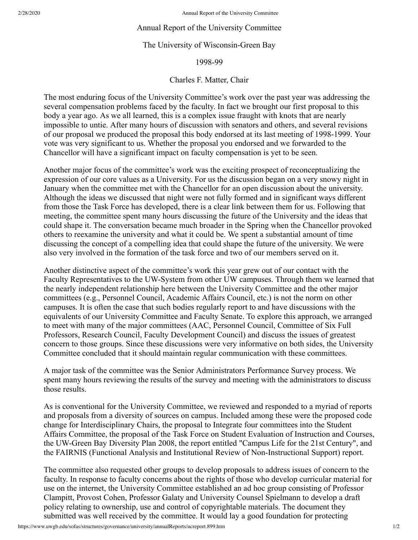## Annual Report of the University Committee

## The University of Wisconsin-Green Bay

## 1998-99

## Charles F. Matter, Chair

The most enduring focus of the University Committee's work over the past year was addressing the several compensation problems faced by the faculty. In fact we brought our first proposal to this body a year ago. As we all learned, this is a complex issue fraught with knots that are nearly impossible to untie. After many hours of discussion with senators and others, and several revisions of our proposal we produced the proposal this body endorsed at its last meeting of 1998-1999. Your vote was very significant to us. Whether the proposal you endorsed and we forwarded to the Chancellor will have a significant impact on faculty compensation is yet to be seen.

Another major focus of the committee's work was the exciting prospect of reconceptualizing the expression of our core values as a University. For us the discussion began on a very snowy night in January when the committee met with the Chancellor for an open discussion about the university. Although the ideas we discussed that night were not fully formed and in significant ways different from those the Task Force has developed, there is a clear link between them for us. Following that meeting, the committee spent many hours discussing the future of the University and the ideas that could shape it. The conversation became much broader in the Spring when the Chancellor provoked others to reexamine the university and what it could be. We spent a substantial amount of time discussing the concept of a compelling idea that could shape the future of the university. We were also very involved in the formation of the task force and two of our members served on it.

Another distinctive aspect of the committee's work this year grew out of our contact with the Faculty Representatives to the UW-System from other UW campuses. Through them we learned that the nearly independent relationship here between the University Committee and the other major committees (e.g., Personnel Council, Academic Affairs Council, etc.) is not the norm on other campuses. It is often the case that such bodies regularly report to and have discussions with the equivalents of our University Committee and Faculty Senate. To explore this approach, we arranged to meet with many of the major committees (AAC, Personnel Council, Committee of Six Full Professors, Research Council, Faculty Development Council) and discuss the issues of greatest concern to those groups. Since these discussions were very informative on both sides, the University Committee concluded that it should maintain regular communication with these committees.

A major task of the committee was the Senior Administrators Performance Survey process. We spent many hours reviewing the results of the survey and meeting with the administrators to discuss those results.

As is conventional for the University Committee, we reviewed and responded to a myriad of reports and proposals from a diversity of sources on campus. Included among these were the proposed code change for Interdisciplinary Chairs, the proposal to Integrate four committees into the Student Affairs Committee, the proposal of the Task Force on Student Evaluation of Instruction and Courses, the UW-Green Bay Diversity Plan 2008, the report entitled "Campus Life for the 21st Century", and the FAIRNIS (Functional Analysis and Institutional Review of Non-Instructional Support) report.

The committee also requested other groups to develop proposals to address issues of concern to the faculty. In response to faculty concerns about the rights of those who develop curricular material for use on the internet, the University Committee established an ad hoc group consisting of Professor Clampitt, Provost Cohen, Professor Galaty and University Counsel Spielmann to develop a draft policy relating to ownership, use and control of copyrightable materials. The document they submitted was well received by the committee. It would lay a good foundation for protecting